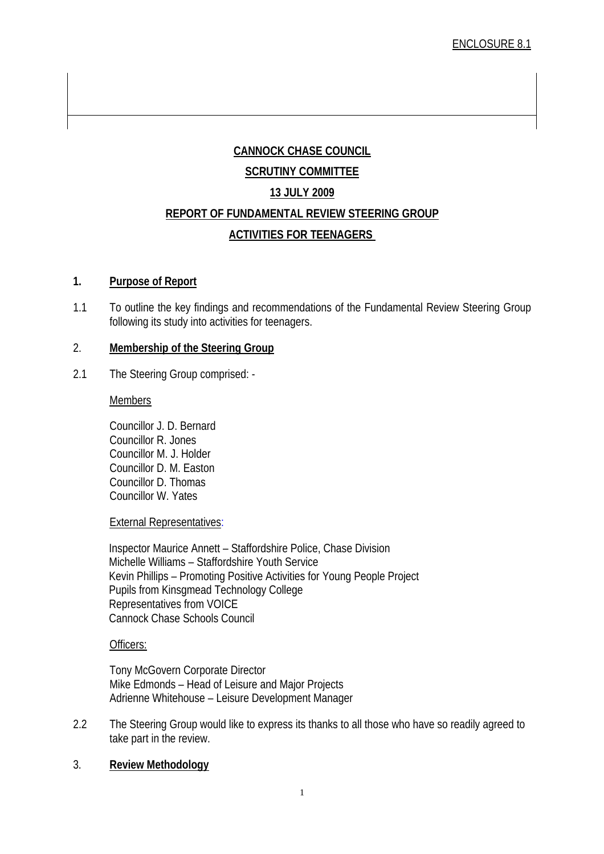# **CANNOCK CHASE COUNCIL SCRUTINY COMMITTEE 13 JULY 2009 REPORT OF FUNDAMENTAL REVIEW STEERING GROUP ACTIVITIES FOR TEENAGERS**

### **1. Purpose of Report**

1.1 To outline the key findings and recommendations of the Fundamental Review Steering Group following its study into activities for teenagers.

### 2. **Membership of the Steering Group**

2.1 The Steering Group comprised: -

#### Members

Councillor J. D. Bernard Councillor R. Jones Councillor M. J. Holder Councillor D. M. Easton Councillor D. Thomas Councillor W. Yates

#### External Representatives:

 Inspector Maurice Annett – Staffordshire Police, Chase Division Michelle Williams – Staffordshire Youth Service Kevin Phillips – Promoting Positive Activities for Young People Project Pupils from Kinsgmead Technology College Representatives from VOICE Cannock Chase Schools Council

#### Officers:

Tony McGovern Corporate Director Mike Edmonds – Head of Leisure and Major Projects Adrienne Whitehouse – Leisure Development Manager

- 2.2 The Steering Group would like to express its thanks to all those who have so readily agreed to take part in the review.
- 3. **Review Methodology**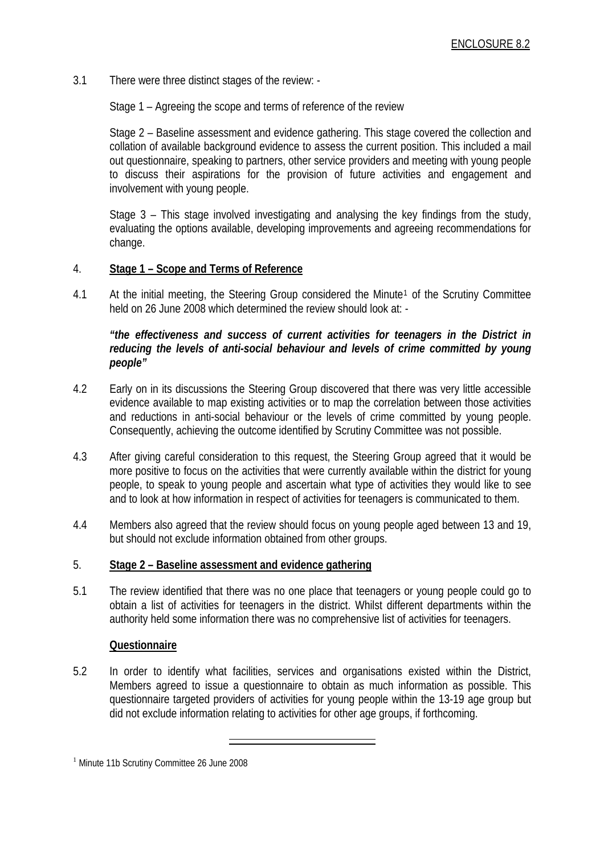3.1 There were three distinct stages of the review: -

Stage 1 – Agreeing the scope and terms of reference of the review

 Stage 2 – Baseline assessment and evidence gathering. This stage covered the collection and collation of available background evidence to assess the current position. This included a mail out questionnaire, speaking to partners, other service providers and meeting with young people to discuss their aspirations for the provision of future activities and engagement and involvement with young people.

 Stage 3 – This stage involved investigating and analysing the key findings from the study, evaluating the options available, developing improvements and agreeing recommendations for change.

#### 4. **Stage 1 – Scope and Terms of Reference**

4.[1](#page-1-0) At the initial meeting, the Steering Group considered the Minute<sup>1</sup> of the Scrutiny Committee held on 26 June 2008 which determined the review should look at: -

### *"the effectiveness and success of current activities for teenagers in the District in reducing the levels of anti-social behaviour and levels of crime committed by young people"*

- 4.2 Early on in its discussions the Steering Group discovered that there was very little accessible evidence available to map existing activities or to map the correlation between those activities and reductions in anti-social behaviour or the levels of crime committed by young people. Consequently, achieving the outcome identified by Scrutiny Committee was not possible.
- 4.3 After giving careful consideration to this request, the Steering Group agreed that it would be more positive to focus on the activities that were currently available within the district for young people, to speak to young people and ascertain what type of activities they would like to see and to look at how information in respect of activities for teenagers is communicated to them.
- 4.4 Members also agreed that the review should focus on young people aged between 13 and 19, but should not exclude information obtained from other groups.

### 5. **Stage 2 – Baseline assessment and evidence gathering**

5.1 The review identified that there was no one place that teenagers or young people could go to obtain a list of activities for teenagers in the district. Whilst different departments within the authority held some information there was no comprehensive list of activities for teenagers.

#### **Questionnaire**

5.2 In order to identify what facilities, services and organisations existed within the District, Members agreed to issue a questionnaire to obtain as much information as possible. This questionnaire targeted providers of activities for young people within the 13-19 age group but did not exclude information relating to activities for other age groups, if forthcoming.

<span id="page-1-0"></span><sup>&</sup>lt;sup>1</sup> Minute 11b Scrutiny Committee 26 June 2008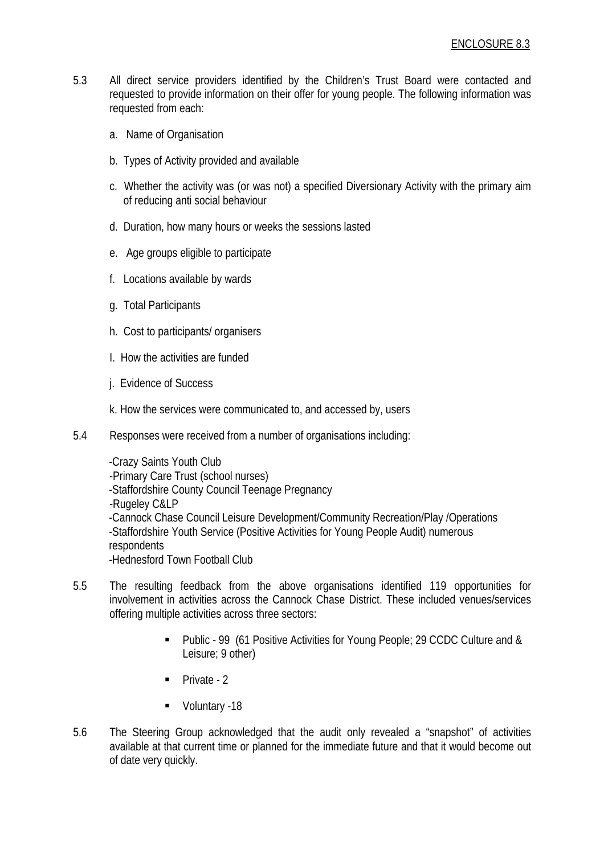- 5.3 All direct service providers identified by the Children's Trust Board were contacted and requested to provide information on their offer for young people. The following information was requested from each:
	- a. Name of Organisation
	- b. Types of Activity provided and available
	- c. Whether the activity was (or was not) a specified Diversionary Activity with the primary aim of reducing anti social behaviour
	- d. Duration, how many hours or weeks the sessions lasted
	- e. Age groups eligible to participate
	- f. Locations available by wards
	- g. Total Participants
	- h. Cost to participants/ organisers
	- I. How the activities are funded
	- j. Evidence of Success
	- k. How the services were communicated to, and accessed by, users
- 5.4 Responses were received from a number of organisations including:

-Crazy Saints Youth Club -Primary Care Trust (school nurses) -Staffordshire County Council Teenage Pregnancy -Rugeley C&LP -Cannock Chase Council Leisure Development/Community Recreation/Play /Operations -Staffordshire Youth Service (Positive Activities for Young People Audit) numerous respondents -Hednesford Town Football Club

- 5.5 The resulting feedback from the above organisations identified 119 opportunities for involvement in activities across the Cannock Chase District. These included venues/services offering multiple activities across three sectors:
	- Public 99 (61 Positive Activities for Young People; 29 CCDC Culture and & Leisure; 9 other)
	- $\blacksquare$  Private 2
	- **v** Voluntary -18
- 5.6 The Steering Group acknowledged that the audit only revealed a "snapshot" of activities available at that current time or planned for the immediate future and that it would become out of date very quickly.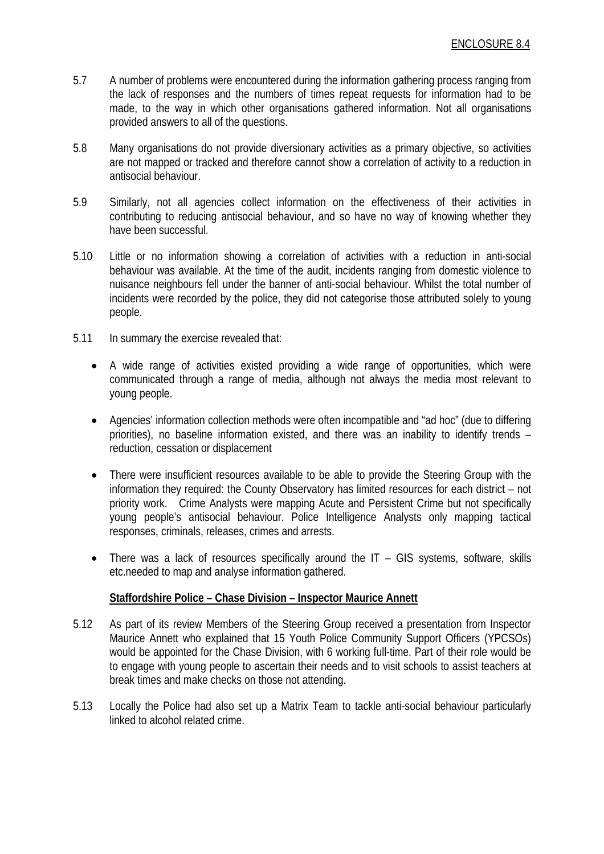- 5.7 A number of problems were encountered during the information gathering process ranging from the lack of responses and the numbers of times repeat requests for information had to be made, to the way in which other organisations gathered information. Not all organisations provided answers to all of the questions.
- 5.8 Many organisations do not provide diversionary activities as a primary objective, so activities are not mapped or tracked and therefore cannot show a correlation of activity to a reduction in antisocial behaviour.
- 5.9 Similarly, not all agencies collect information on the effectiveness of their activities in contributing to reducing antisocial behaviour, and so have no way of knowing whether they have been successful.
- 5.10 Little or no information showing a correlation of activities with a reduction in anti-social behaviour was available. At the time of the audit, incidents ranging from domestic violence to nuisance neighbours fell under the banner of anti-social behaviour. Whilst the total number of incidents were recorded by the police, they did not categorise those attributed solely to young people.
- 5.11 In summary the exercise revealed that:
	- A wide range of activities existed providing a wide range of opportunities, which were communicated through a range of media, although not always the media most relevant to young people.
	- Agencies' information collection methods were often incompatible and "ad hoc" (due to differing priorities), no baseline information existed, and there was an inability to identify trends – reduction, cessation or displacement
	- There were insufficient resources available to be able to provide the Steering Group with the information they required: the County Observatory has limited resources for each district – not priority work. Crime Analysts were mapping Acute and Persistent Crime but not specifically young people's antisocial behaviour. Police Intelligence Analysts only mapping tactical responses, criminals, releases, crimes and arrests.
	- There was a lack of resources specifically around the IT GIS systems, software, skills etc.needed to map and analyse information gathered.

### **Staffordshire Police – Chase Division – Inspector Maurice Annett**

- 5.12 As part of its review Members of the Steering Group received a presentation from Inspector Maurice Annett who explained that 15 Youth Police Community Support Officers (YPCSOs) would be appointed for the Chase Division, with 6 working full-time. Part of their role would be to engage with young people to ascertain their needs and to visit schools to assist teachers at break times and make checks on those not attending.
- 5.13 Locally the Police had also set up a Matrix Team to tackle anti-social behaviour particularly linked to alcohol related crime.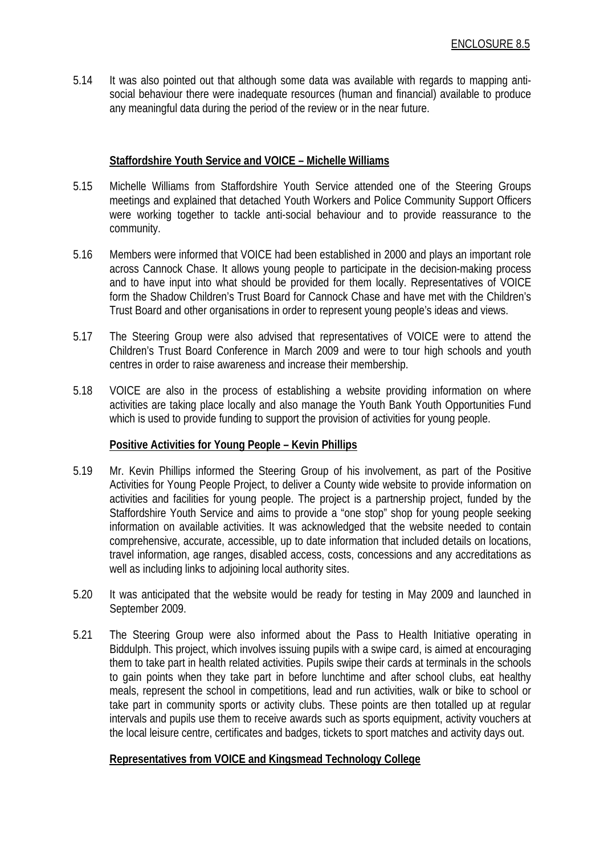5.14 It was also pointed out that although some data was available with regards to mapping antisocial behaviour there were inadequate resources (human and financial) available to produce any meaningful data during the period of the review or in the near future.

### **Staffordshire Youth Service and VOICE – Michelle Williams**

- 5.15 Michelle Williams from Staffordshire Youth Service attended one of the Steering Groups meetings and explained that detached Youth Workers and Police Community Support Officers were working together to tackle anti-social behaviour and to provide reassurance to the community.
- 5.16 Members were informed that VOICE had been established in 2000 and plays an important role across Cannock Chase. It allows young people to participate in the decision-making process and to have input into what should be provided for them locally. Representatives of VOICE form the Shadow Children's Trust Board for Cannock Chase and have met with the Children's Trust Board and other organisations in order to represent young people's ideas and views.
- 5.17 The Steering Group were also advised that representatives of VOICE were to attend the Children's Trust Board Conference in March 2009 and were to tour high schools and youth centres in order to raise awareness and increase their membership.
- 5.18 VOICE are also in the process of establishing a website providing information on where activities are taking place locally and also manage the Youth Bank Youth Opportunities Fund which is used to provide funding to support the provision of activities for young people.

#### **Positive Activities for Young People – Kevin Phillips**

- 5.19 Mr. Kevin Phillips informed the Steering Group of his involvement, as part of the Positive Activities for Young People Project, to deliver a County wide website to provide information on activities and facilities for young people. The project is a partnership project, funded by the Staffordshire Youth Service and aims to provide a "one stop" shop for young people seeking information on available activities. It was acknowledged that the website needed to contain comprehensive, accurate, accessible, up to date information that included details on locations, travel information, age ranges, disabled access, costs, concessions and any accreditations as well as including links to adjoining local authority sites.
- 5.20 It was anticipated that the website would be ready for testing in May 2009 and launched in September 2009.
- 5.21 The Steering Group were also informed about the Pass to Health Initiative operating in Biddulph. This project, which involves issuing pupils with a swipe card, is aimed at encouraging them to take part in health related activities. Pupils swipe their cards at terminals in the schools to gain points when they take part in before lunchtime and after school clubs, eat healthy meals, represent the school in competitions, lead and run activities, walk or bike to school or take part in community sports or activity clubs. These points are then totalled up at regular intervals and pupils use them to receive awards such as sports equipment, activity vouchers at the local leisure centre, certificates and badges, tickets to sport matches and activity days out.

### **Representatives from VOICE and Kingsmead Technology College**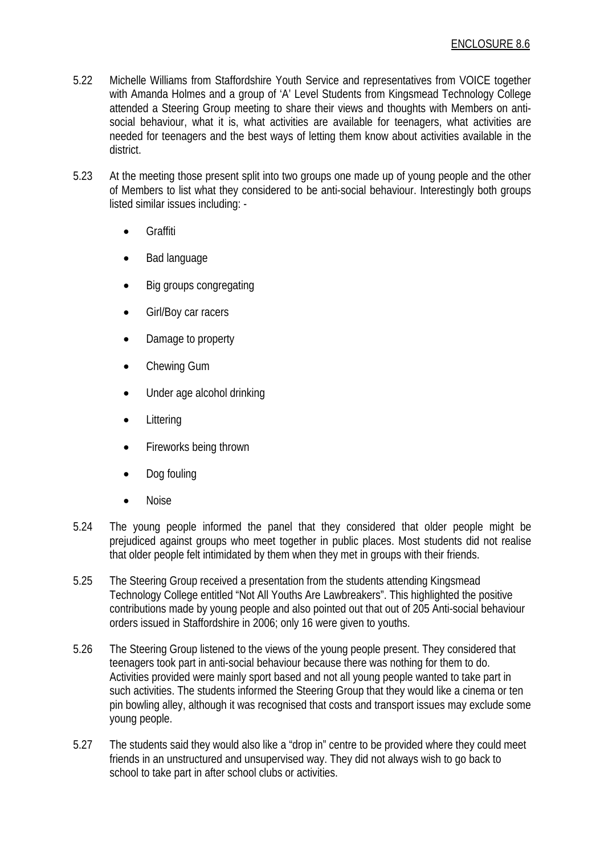- 5.22 Michelle Williams from Staffordshire Youth Service and representatives from VOICE together with Amanda Holmes and a group of 'A' Level Students from Kingsmead Technology College attended a Steering Group meeting to share their views and thoughts with Members on antisocial behaviour, what it is, what activities are available for teenagers, what activities are needed for teenagers and the best ways of letting them know about activities available in the district.
- 5.23 At the meeting those present split into two groups one made up of young people and the other of Members to list what they considered to be anti-social behaviour. Interestingly both groups listed similar issues including: -
	- Graffiti
	- Bad language
	- Big groups congregating
	- Girl/Boy car racers
	- Damage to property
	- Chewing Gum
	- Under age alcohol drinking
	- Littering
	- Fireworks being thrown
	- Dog fouling
	- Noise
- 5.24 The young people informed the panel that they considered that older people might be prejudiced against groups who meet together in public places. Most students did not realise that older people felt intimidated by them when they met in groups with their friends.
- 5.25 The Steering Group received a presentation from the students attending Kingsmead Technology College entitled "Not All Youths Are Lawbreakers". This highlighted the positive contributions made by young people and also pointed out that out of 205 Anti-social behaviour orders issued in Staffordshire in 2006; only 16 were given to youths.
- 5.26 The Steering Group listened to the views of the young people present. They considered that teenagers took part in anti-social behaviour because there was nothing for them to do. Activities provided were mainly sport based and not all young people wanted to take part in such activities. The students informed the Steering Group that they would like a cinema or ten pin bowling alley, although it was recognised that costs and transport issues may exclude some young people.
- 5.27 The students said they would also like a "drop in" centre to be provided where they could meet friends in an unstructured and unsupervised way. They did not always wish to go back to school to take part in after school clubs or activities.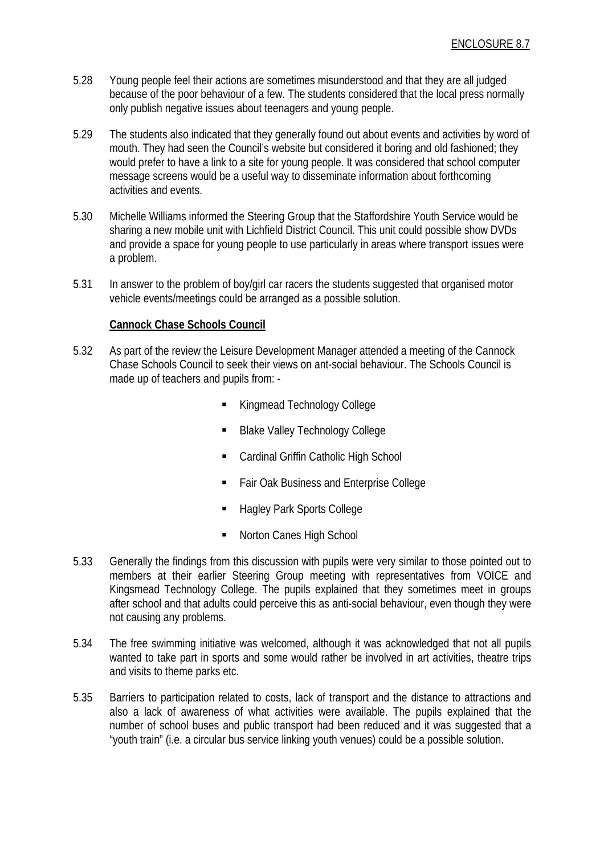- 5.28 Young people feel their actions are sometimes misunderstood and that they are all judged because of the poor behaviour of a few. The students considered that the local press normally only publish negative issues about teenagers and young people.
- 5.29 The students also indicated that they generally found out about events and activities by word of mouth. They had seen the Council's website but considered it boring and old fashioned; they would prefer to have a link to a site for young people. It was considered that school computer message screens would be a useful way to disseminate information about forthcoming activities and events.
- 5.30 Michelle Williams informed the Steering Group that the Staffordshire Youth Service would be sharing a new mobile unit with Lichfield District Council. This unit could possible show DVDs and provide a space for young people to use particularly in areas where transport issues were a problem.
- 5.31 In answer to the problem of boy/girl car racers the students suggested that organised motor vehicle events/meetings could be arranged as a possible solution.

### **Cannock Chase Schools Council**

- 5.32 As part of the review the Leisure Development Manager attended a meeting of the Cannock Chase Schools Council to seek their views on ant-social behaviour. The Schools Council is made up of teachers and pupils from: -
	- Kingmead Technology College
	- Blake Valley Technology College
	- Cardinal Griffin Catholic High School
	- Fair Oak Business and Enterprise College
	- Hagley Park Sports College
	- Norton Canes High School
- 5.33 Generally the findings from this discussion with pupils were very similar to those pointed out to members at their earlier Steering Group meeting with representatives from VOICE and Kingsmead Technology College. The pupils explained that they sometimes meet in groups after school and that adults could perceive this as anti-social behaviour, even though they were not causing any problems.
- 5.34 The free swimming initiative was welcomed, although it was acknowledged that not all pupils wanted to take part in sports and some would rather be involved in art activities, theatre trips and visits to theme parks etc.
- 5.35 Barriers to participation related to costs, lack of transport and the distance to attractions and also a lack of awareness of what activities were available. The pupils explained that the number of school buses and public transport had been reduced and it was suggested that a "youth train" (i.e. a circular bus service linking youth venues) could be a possible solution.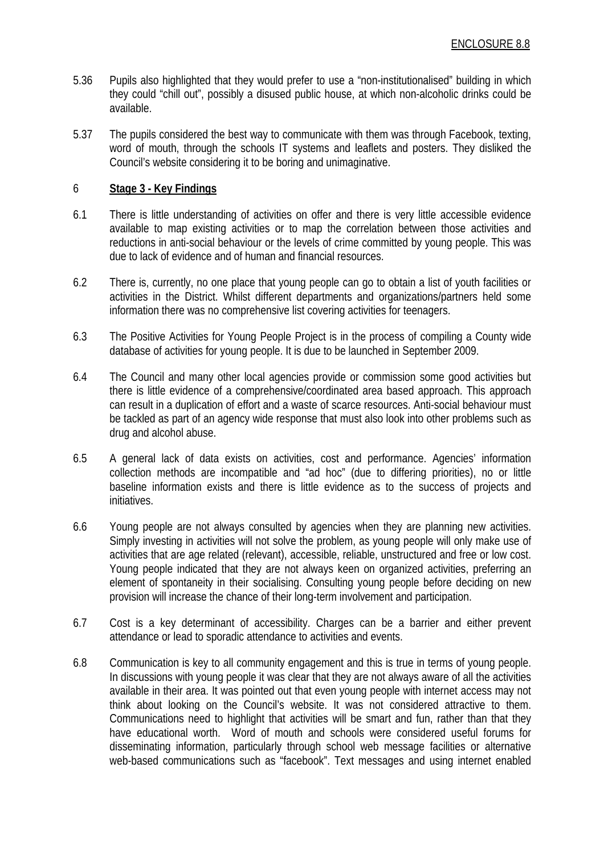- 5.36 Pupils also highlighted that they would prefer to use a "non-institutionalised" building in which they could "chill out", possibly a disused public house, at which non-alcoholic drinks could be available.
- 5.37 The pupils considered the best way to communicate with them was through Facebook, texting, word of mouth, through the schools IT systems and leaflets and posters. They disliked the Council's website considering it to be boring and unimaginative.

### 6 **Stage 3 - Key Findings**

- 6.1 There is little understanding of activities on offer and there is very little accessible evidence available to map existing activities or to map the correlation between those activities and reductions in anti-social behaviour or the levels of crime committed by young people. This was due to lack of evidence and of human and financial resources.
- 6.2 There is, currently, no one place that young people can go to obtain a list of youth facilities or activities in the District. Whilst different departments and organizations/partners held some information there was no comprehensive list covering activities for teenagers.
- 6.3 The Positive Activities for Young People Project is in the process of compiling a County wide database of activities for young people. It is due to be launched in September 2009.
- 6.4 The Council and many other local agencies provide or commission some good activities but there is little evidence of a comprehensive/coordinated area based approach. This approach can result in a duplication of effort and a waste of scarce resources. Anti-social behaviour must be tackled as part of an agency wide response that must also look into other problems such as drug and alcohol abuse.
- 6.5 A general lack of data exists on activities, cost and performance. Agencies' information collection methods are incompatible and "ad hoc" (due to differing priorities), no or little baseline information exists and there is little evidence as to the success of projects and initiatives.
- 6.6 Young people are not always consulted by agencies when they are planning new activities. Simply investing in activities will not solve the problem, as young people will only make use of activities that are age related (relevant), accessible, reliable, unstructured and free or low cost. Young people indicated that they are not always keen on organized activities, preferring an element of spontaneity in their socialising. Consulting young people before deciding on new provision will increase the chance of their long-term involvement and participation.
- 6.7 Cost is a key determinant of accessibility. Charges can be a barrier and either prevent attendance or lead to sporadic attendance to activities and events.
- 6.8 Communication is key to all community engagement and this is true in terms of young people. In discussions with young people it was clear that they are not always aware of all the activities available in their area. It was pointed out that even young people with internet access may not think about looking on the Council's website. It was not considered attractive to them. Communications need to highlight that activities will be smart and fun, rather than that they have educational worth. Word of mouth and schools were considered useful forums for disseminating information, particularly through school web message facilities or alternative web-based communications such as "facebook". Text messages and using internet enabled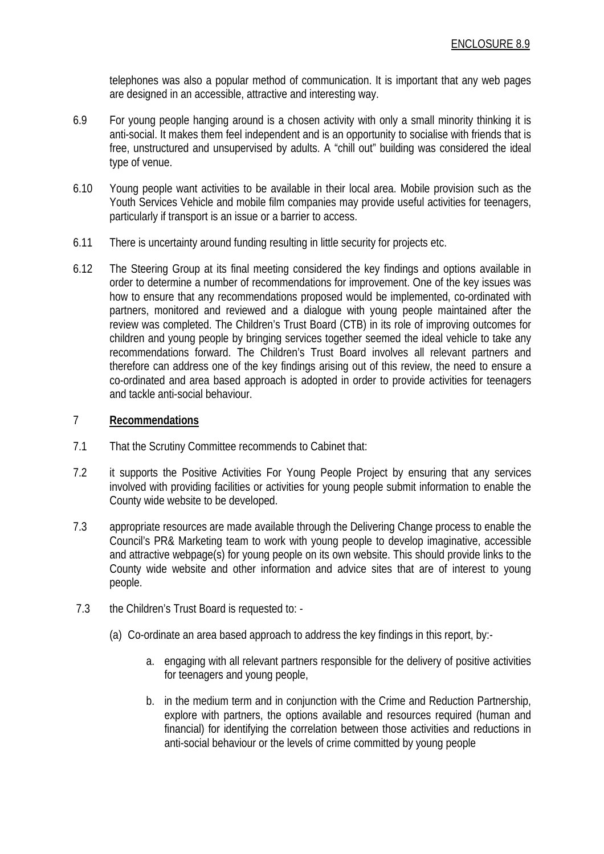telephones was also a popular method of communication. It is important that any web pages are designed in an accessible, attractive and interesting way.

- 6.9 For young people hanging around is a chosen activity with only a small minority thinking it is anti-social. It makes them feel independent and is an opportunity to socialise with friends that is free, unstructured and unsupervised by adults. A "chill out" building was considered the ideal type of venue.
- 6.10 Young people want activities to be available in their local area. Mobile provision such as the Youth Services Vehicle and mobile film companies may provide useful activities for teenagers, particularly if transport is an issue or a barrier to access.
- 6.11 There is uncertainty around funding resulting in little security for projects etc.
- 6.12 The Steering Group at its final meeting considered the key findings and options available in order to determine a number of recommendations for improvement. One of the key issues was how to ensure that any recommendations proposed would be implemented, co-ordinated with partners, monitored and reviewed and a dialogue with young people maintained after the review was completed. The Children's Trust Board (CTB) in its role of improving outcomes for children and young people by bringing services together seemed the ideal vehicle to take any recommendations forward. The Children's Trust Board involves all relevant partners and therefore can address one of the key findings arising out of this review, the need to ensure a co-ordinated and area based approach is adopted in order to provide activities for teenagers and tackle anti-social behaviour.

### 7 **Recommendations**

- 7.1 That the Scrutiny Committee recommends to Cabinet that:
- 7.2 it supports the Positive Activities For Young People Project by ensuring that any services involved with providing facilities or activities for young people submit information to enable the County wide website to be developed.
- 7.3 appropriate resources are made available through the Delivering Change process to enable the Council's PR& Marketing team to work with young people to develop imaginative, accessible and attractive webpage(s) for young people on its own website. This should provide links to the County wide website and other information and advice sites that are of interest to young people.
- 7.3 the Children's Trust Board is requested to:
	- (a) Co-ordinate an area based approach to address the key findings in this report, by:
		- a. engaging with all relevant partners responsible for the delivery of positive activities for teenagers and young people,
		- b. in the medium term and in conjunction with the Crime and Reduction Partnership, explore with partners, the options available and resources required (human and financial) for identifying the correlation between those activities and reductions in anti-social behaviour or the levels of crime committed by young people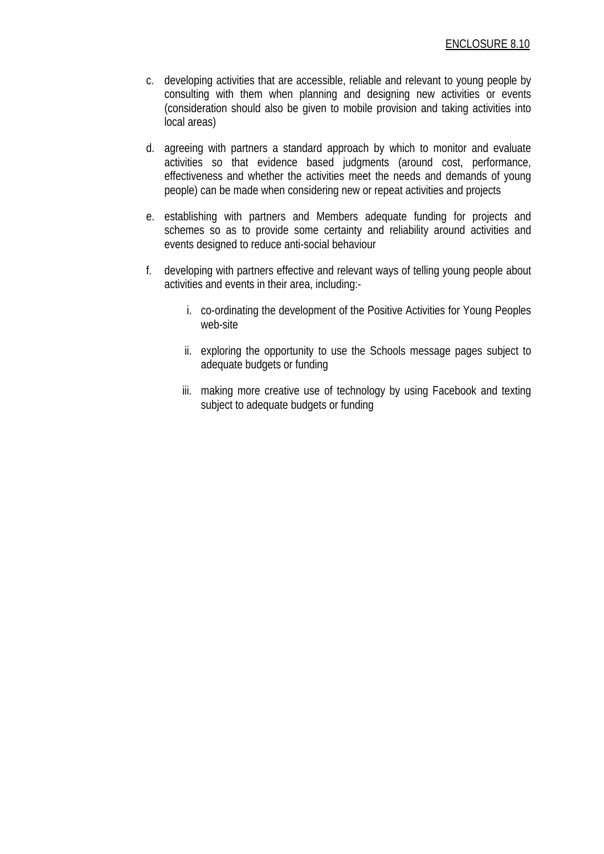- c. developing activities that are accessible, reliable and relevant to young people by consulting with them when planning and designing new activities or events (consideration should also be given to mobile provision and taking activities into local areas)
- d. agreeing with partners a standard approach by which to monitor and evaluate activities so that evidence based judgments (around cost, performance, effectiveness and whether the activities meet the needs and demands of young people) can be made when considering new or repeat activities and projects
- e. establishing with partners and Members adequate funding for projects and schemes so as to provide some certainty and reliability around activities and events designed to reduce anti-social behaviour
- f. developing with partners effective and relevant ways of telling young people about activities and events in their area, including:
	- i. co-ordinating the development of the Positive Activities for Young Peoples web-site
	- ii. exploring the opportunity to use the Schools message pages subject to adequate budgets or funding
	- iii. making more creative use of technology by using Facebook and texting subject to adequate budgets or funding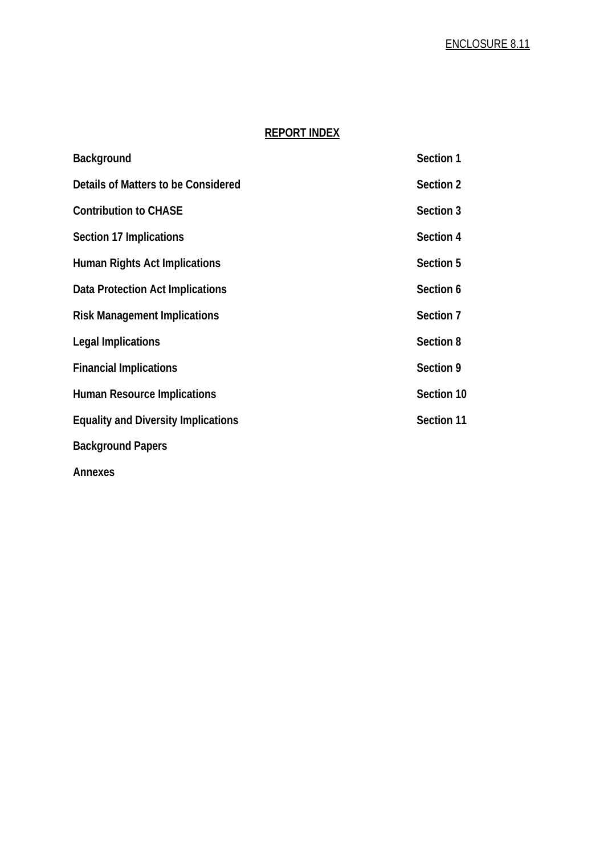## **REPORT INDEX**

| <b>Background</b>                          | Section 1  |
|--------------------------------------------|------------|
| Details of Matters to be Considered        | Section 2  |
| <b>Contribution to CHASE</b>               | Section 3  |
| Section 17 Implications                    | Section 4  |
| <b>Human Rights Act Implications</b>       | Section 5  |
| Data Protection Act Implications           | Section 6  |
| <b>Risk Management Implications</b>        | Section 7  |
| <b>Legal Implications</b>                  | Section 8  |
| <b>Financial Implications</b>              | Section 9  |
| <b>Human Resource Implications</b>         | Section 10 |
| <b>Equality and Diversity Implications</b> | Section 11 |
| <b>Background Papers</b>                   |            |
| <b>Annexes</b>                             |            |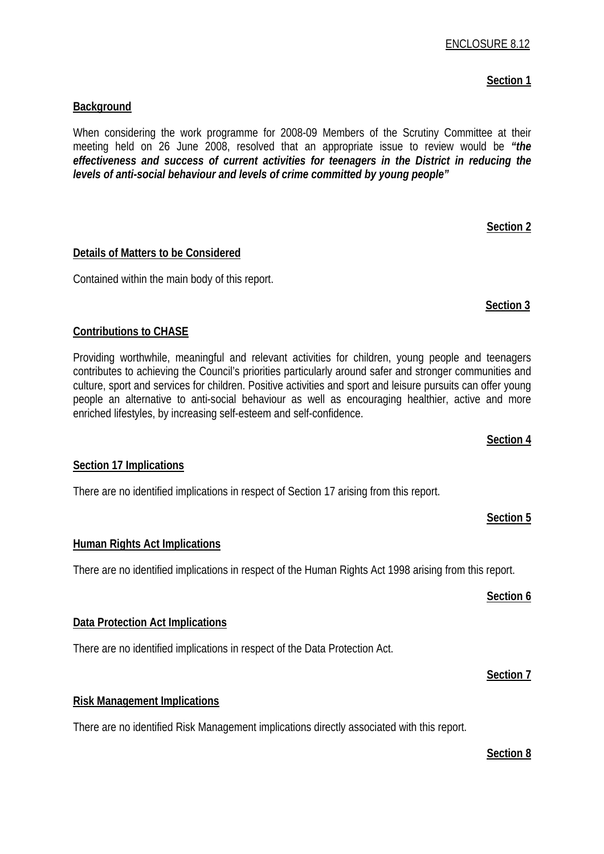# **Section 1**

# **Background**

When considering the work programme for 2008-09 Members of the Scrutiny Committee at their meeting held on 26 June 2008, resolved that an appropriate issue to review would be *"the effectiveness and success of current activities for teenagers in the District in reducing the levels of anti-social behaviour and levels of crime committed by young people"* 

# **Details of Matters to be Considered**

Contained within the main body of this report.

### **Section 3**

**Section 2**

### **Contributions to CHASE**

Providing worthwhile, meaningful and relevant activities for children, young people and teenagers contributes to achieving the Council's priorities particularly around safer and stronger communities and culture, sport and services for children. Positive activities and sport and leisure pursuits can offer young people an alternative to anti-social behaviour as well as encouraging healthier, active and more enriched lifestyles, by increasing self-esteem and self-confidence.

### **Section 17 Implications**

There are no identified implications in respect of Section 17 arising from this report.

# **Section 5**

**Section 6**

**Section 7**

**Section 4**

### **Human Rights Act Implications**

There are no identified implications in respect of the Human Rights Act 1998 arising from this report.

### **Data Protection Act Implications**

There are no identified implications in respect of the Data Protection Act.

### **Risk Management Implications**

There are no identified Risk Management implications directly associated with this report.

### **Section 8**